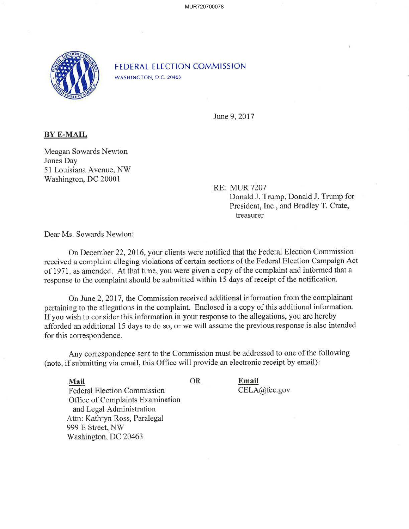

FEDERAL ELECTION COMMISSION WASHINGTON, D.C. 20463

June 9, 2017

## **BYE-MAIL**

Meagan Sowards Newton Jones Day 51 Louisiana A venue, NW Washington, DC 20001

> RE: MUR 7207 Donald J. Trump, Donald J. Trump for President, Inc., and Bradley T. Crate, treasurer

Dear Ms. Sowards Newton:

On December 22, 2016, your clients were notified that the Federal Election Commission received a complaint alleging violations of certain sections of the Federal Election Campaign Act of 1971 , as amended. At that time, you were given a copy of the complaint and informed that a response to the complaint should be submitted within 15 days of receipt of the notification.

On June 2, 2017, the Commission received additional information from the complainant pertaining to the allegations in the complaint. Enclosed is a copy of this additional information. If you wish to consider this information in your response to the allegations, you are hereby afforded an additional 15 days to do so, or we will assume the previous response is also intended for this correspondence.

Any correspondence sent to the Commission must be addressed to one of the following (note, if submitting via email, this Office will provide an electronic receipt by email):

CELA@fec.gov

**Email** 

**Mail** OR Federal Election Commission Office of Complaints Examination and Legal Administration Attn: Kathryn Ross, Paralegal 999 E Street, NW Washington, DC 20463